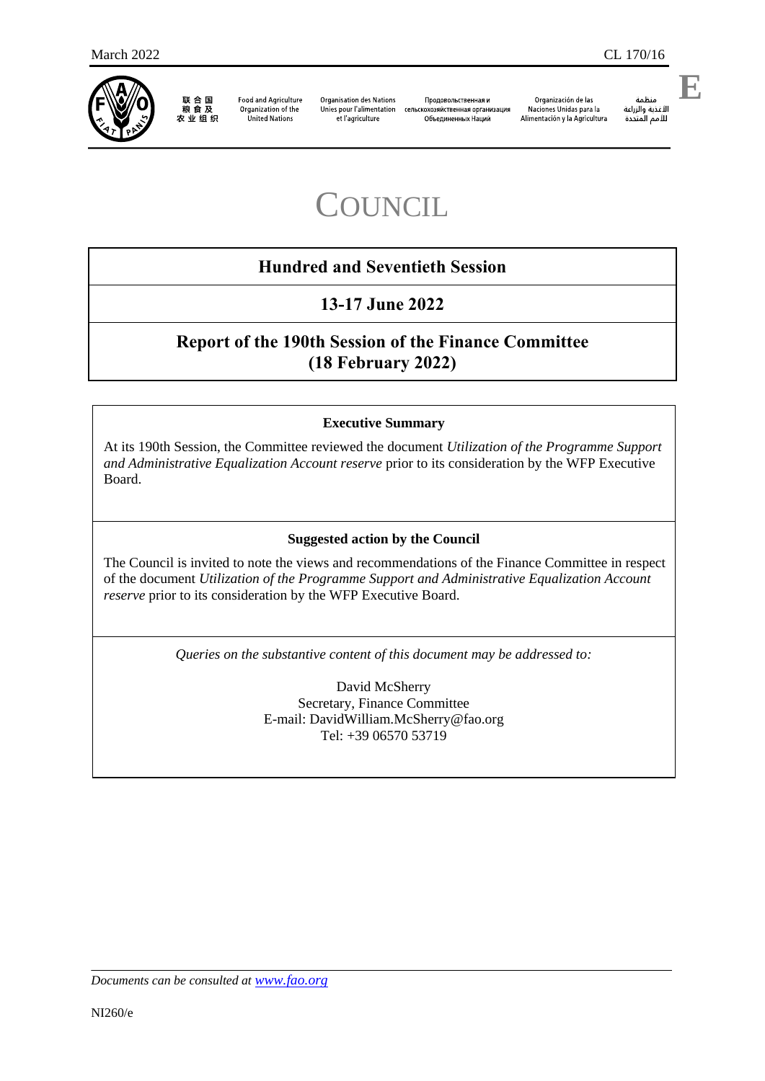

联合国 农业组织

Food and Agriculture Organization of the United Nations

**Organisation des Nations** et l'agriculture

Продовольственная и Unies pour l'alimentation сельскохозяйственная организация объединенных Наций

Organización de las Naciones Unidas para la Alimentación y la Agricultura منظمة

**E**

مسمه<br>الأغذية والزراعة<br>للأمم المتحدة

# **COUNCIL**

# **Hundred and Seventieth Session**

# **13-17 June 2022**

# **Report of the 190th Session of the Finance Committee (18 February 2022)**

### **Executive Summary**

At its 190th Session, the Committee reviewed the document *Utilization of the Programme Support and Administrative Equalization Account reserve* prior to its consideration by the WFP Executive Board.

#### **Suggested action by the Council**

The Council is invited to note the views and recommendations of the Finance Committee in respect of the document *Utilization of the Programme Support and Administrative Equalization Account reserve* prior to its consideration by the WFP Executive Board.

*Queries on the substantive content of this document may be addressed to:*

David McSherry Secretary, Finance Committee E-mail: [DavidWilliam.McSherry@fao.org](mailto:DavidWilliam.McSherry@fao.org) Tel: +39 06570 53719

*Documents can be consulted at [www.fao.org](http://www.fao.org/)*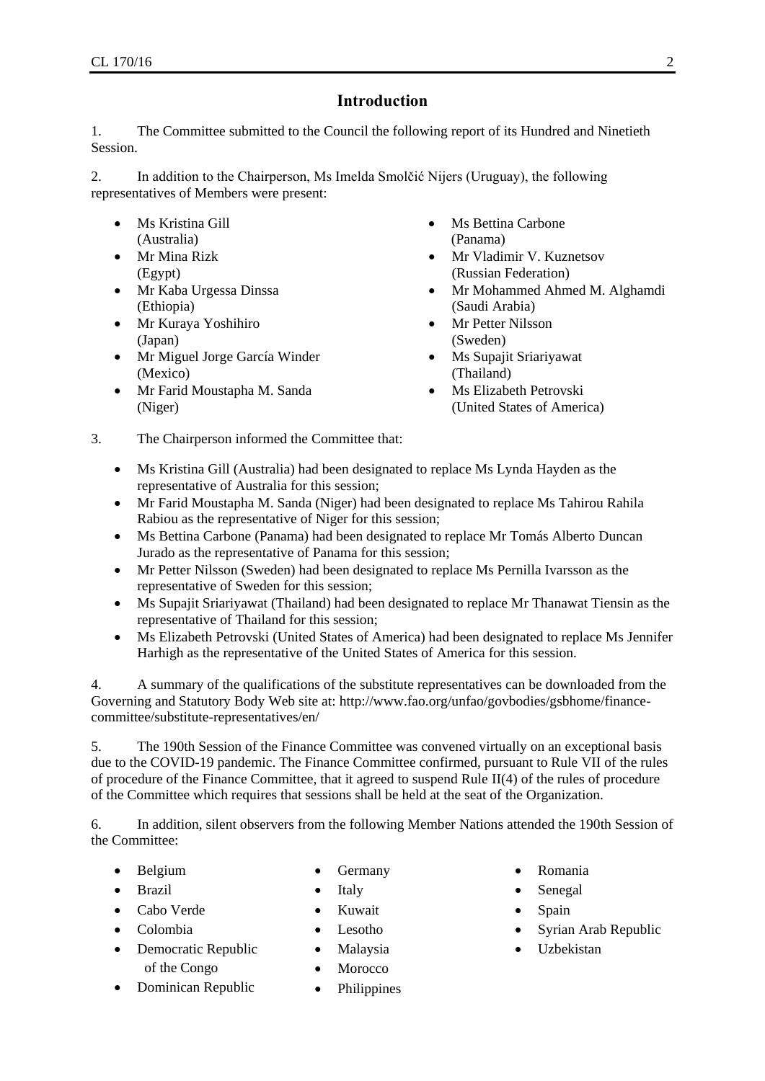## **Introduction**

1. The Committee submitted to the Council the following report of its Hundred and Ninetieth Session.

2. In addition to the Chairperson, Ms Imelda Smolčić Nijers (Uruguay), the following representatives of Members were present:

- Ms Kristina Gill (Australia)
- Mr Mina Rizk (Egypt)
- Mr Kaba Urgessa Dinssa (Ethiopia)
- Mr Kuraya Yoshihiro (Japan)
- Mr Miguel Jorge García Winder (Mexico)
- Mr Farid Moustapha M. Sanda (Niger)
- Ms Bettina Carbone (Panama)
- Mr Vladimir V. Kuznetsov (Russian Federation)
- Mr Mohammed Ahmed M. Alghamdi (Saudi Arabia)
- Mr Petter Nilsson (Sweden)
- Ms Supajit Sriariyawat (Thailand)
- Ms Elizabeth Petrovski (United States of America)
- 3. The Chairperson informed the Committee that:
	- Ms Kristina Gill (Australia) had been designated to replace Ms Lynda Hayden as the representative of Australia for this session;
	- Mr Farid Moustapha M. Sanda (Niger) had been designated to replace Ms Tahirou Rahila Rabiou as the representative of Niger for this session;
	- Ms Bettina Carbone (Panama) had been designated to replace Mr Tomás Alberto Duncan Jurado as the representative of Panama for this session;
	- Mr Petter Nilsson (Sweden) had been designated to replace Ms Pernilla Ivarsson as the representative of Sweden for this session;
	- Ms Supajit Sriariyawat (Thailand) had been designated to replace Mr Thanawat Tiensin as the representative of Thailand for this session;
	- Ms Elizabeth Petrovski (United States of America) had been designated to replace Ms Jennifer Harhigh as the representative of the United States of America for this session.

4. A summary of the qualifications of the substitute representatives can be downloaded from the Governing and Statutory Body Web site at: [http://www.fao.org/unfao/govbodies/gsbhome/finance](http://www.fao.org/unfao/govbodies/gsbhome/finance-committee/substitute-representatives/en/)[committee/substitute-representatives/en/](http://www.fao.org/unfao/govbodies/gsbhome/finance-committee/substitute-representatives/en/)

5. The 190th Session of the Finance Committee was convened virtually on an exceptional basis due to the COVID-19 pandemic. The Finance Committee confirmed, pursuant to Rule VII of the rules of procedure of the Finance Committee, that it agreed to suspend Rule II(4) of the rules of procedure of the Committee which requires that sessions shall be held at the seat of the Organization.

6. In addition, silent observers from the following Member Nations attended the 190th Session of the Committee:

- Belgium
- Brazil
- Cabo Verde
- Colombia
- Democratic Republic of the Congo
- Dominican Republic
- Germany
- $\bullet$  Italy
- Kuwait
- Lesotho
- Malaysia
- Morocco
- Philippines
- Romania
- Senegal
- Spain
- Syrian Arab Republic
- Uzbekistan